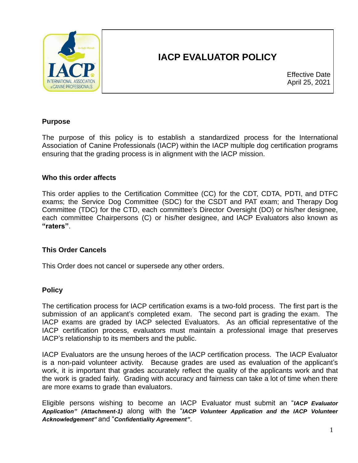

# **IACP EVALUATOR POLICY**

Effective Date April 25, 2021

### **Purpose**

The purpose of this policy is to establish a standardized process for the International Association of Canine Professionals (IACP) within the IACP multiple dog certification programs ensuring that the grading process is in alignment with the IACP mission.

#### **Who this order affects**

This order applies to the Certification Committee (CC) for the CDT, CDTA, PDTI, and DTFC exams; the Service Dog Committee (SDC) for the CSDT and PAT exam; and Therapy Dog Committee (TDC) for the CTD, each committee's Director Oversight (DO) or his/her designee, each committee Chairpersons (C) or his/her designee, and IACP Evaluators also known as **"raters"**.

#### **This Order Cancels**

This Order does not cancel or supersede any other orders.

#### **Policy**

The certification process for IACP certification exams is a two-fold process. The first part is the submission of an applicant's completed exam. The second part is grading the exam. The IACP exams are graded by IACP selected Evaluators. As an official representative of the IACP certification process, evaluators must maintain a professional image that preserves IACP's relationship to its members and the public.

IACP Evaluators are the unsung heroes of the IACP certification process. The IACP Evaluator is a non-paid volunteer activity. Because grades are used as evaluation of the applicant's work, it is important that grades accurately reflect the quality of the applicants work and that the work is graded fairly. Grading with accuracy and fairness can take a lot of time when there are more exams to grade than evaluators.

Eligible persons wishing to become an IACP Evaluator must submit an "*IACP Evaluator Application" (Attachment-1)* along with the "*IACP Volunteer Application and the IACP Volunteer Acknowledgement"* and "*Confidentiality Agreement"*.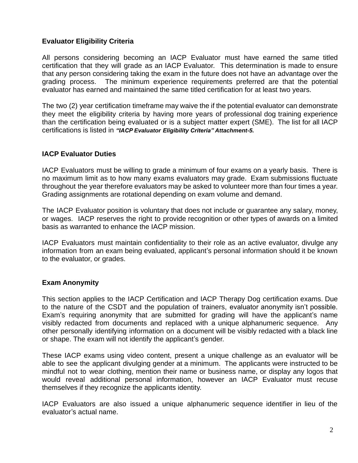## **Evaluator Eligibility Criteria**

All persons considering becoming an IACP Evaluator must have earned the same titled certification that they will grade as an IACP Evaluator. This determination is made to ensure that any person considering taking the exam in the future does not have an advantage over the grading process. The minimum experience requirements preferred are that the potential evaluator has earned and maintained the same titled certification for at least two years.

The two (2) year certification timeframe may waive the if the potential evaluator can demonstrate they meet the eligibility criteria by having more years of professional dog training experience than the certification being evaluated or is a subject matter expert (SME). The list for all IACP certifications is listed in *"IACP Evaluator Eligibility Criteria" Attachment-5.*

### **IACP Evaluator Duties**

IACP Evaluators must be willing to grade a minimum of four exams on a yearly basis. There is no maximum limit as to how many exams evaluators may grade. Exam submissions fluctuate throughout the year therefore evaluators may be asked to volunteer more than four times a year. Grading assignments are rotational depending on exam volume and demand.

The IACP Evaluator position is voluntary that does not include or guarantee any salary, money, or wages. IACP reserves the right to provide recognition or other types of awards on a limited basis as warranted to enhance the IACP mission.

IACP Evaluators must maintain confidentiality to their role as an active evaluator, divulge any information from an exam being evaluated, applicant's personal information should it be known to the evaluator, or grades.

#### **Exam Anonymity**

This section applies to the IACP Certification and IACP Therapy Dog certification exams. Due to the nature of the CSDT and the population of trainers, evaluator anonymity isn't possible. Exam's requiring anonymity that are submitted for grading will have the applicant's name visibly redacted from documents and replaced with a unique alphanumeric sequence. Any other personally identifying information on a document will be visibly redacted with a black line or shape. The exam will not identify the applicant's gender.

These IACP exams using video content, present a unique challenge as an evaluator will be able to see the applicant divulging gender at a minimum. The applicants were instructed to be mindful not to wear clothing, mention their name or business name, or display any logos that would reveal additional personal information, however an IACP Evaluator must recuse themselves if they recognize the applicants identity.

IACP Evaluators are also issued a unique alphanumeric sequence identifier in lieu of the evaluator's actual name.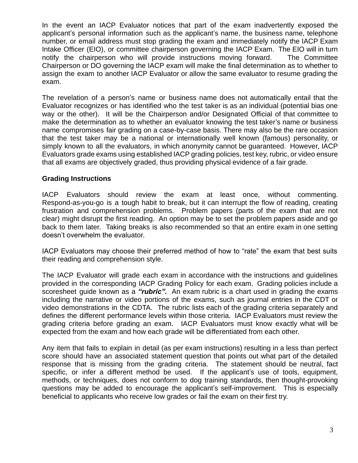In the event an IACP Evaluator notices that part of the exam inadvertently exposed the applicant's personal information such as the applicant's name, the business name, telephone number, or email address must stop grading the exam and immediately notify the IACP Exam Intake Officer (EIO), or committee chairperson governing the IACP Exam. The EIO will in turn notify the chairperson who will provide instructions moving forward. The Committee Chairperson or DO governing the IACP exam will make the final determination as to whether to assign the exam to another IACP Evaluator or allow the same evaluator to resume grading the exam.

The revelation of a person's name or business name does not automatically entail that the Evaluator recognizes or has identified who the test taker is as an individual (potential bias one way or the other). It will be the Chairperson and/or Designated Official of that committee to make the determination as to whether an evaluator knowing the test taker's name or business name compromises fair grading on a case-by-case basis. There may also be the rare occasion that the test taker may be a national or internationally well known (famous) personality, or simply known to all the evaluators, in which anonymity cannot be guaranteed. However, IACP Evaluators grade exams using established IACP grading policies, test key, rubric, or video ensure that all exams are objectively graded, thus providing physical evidence of a fair grade.

### **Grading Instructions**

IACP Evaluators should review the exam at least once, without commenting. Respond-as-you-go is a tough habit to break, but it can interrupt the flow of reading, creating frustration and comprehension problems. Problem papers (parts of the exam that are not clear) might disrupt the first reading. An option may be to set the problem papers aside and go back to them later. Taking breaks is also recommended so that an entire exam in one setting doesn't overwhelm the evaluator.

IACP Evaluators may choose their preferred method of how to "rate" the exam that best suits their reading and comprehension style.

The IACP Evaluator will grade each exam in accordance with the instructions and guidelines provided in the corresponding IACP Grading Policy for each exam. Grading policies include a scoresheet guide known as a *"rubric".* An exam rubric is a chart used in grading the exams including the narrative or video portions of the exams, such as journal entries in the CDT or video demonstrations in the CDTA. The rubric lists each of the grading criteria separately and defines the different performance levels within those criteria. IACP Evaluators must review the grading criteria before grading an exam. IACP Evaluators must know exactly what will be expected from the exam and how each grade will be differentiated from each other.

Any item that fails to explain in detail (as per exam instructions) resulting in a less than perfect score should have an associated statement question that points out what part of the detailed response that is missing from the grading criteria. The statement should be neutral, fact specific, or infer a different method be used. If the applicant's use of tools, equipment, methods, or techniques, does not conform to dog training standards, then thought-provoking questions may be added to encourage the applicant's self-improvement. This is especially beneficial to applicants who receive low grades or fail the exam on their first try.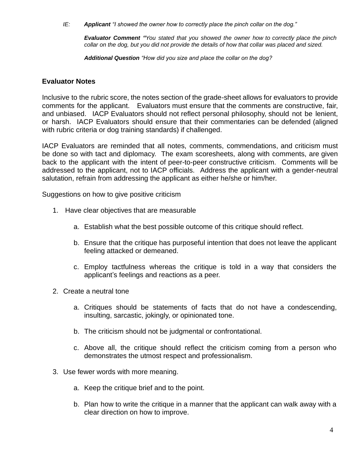*IE: Applicant "I showed the owner how to correctly place the pinch collar on the dog."*

*Evaluator Comment "You stated that you showed the owner how to correctly place the pinch collar on the dog, but you did not provide the details of how that collar was placed and sized.*

*Additional Question "How did you size and place the collar on the dog?*

#### **Evaluator Notes**

Inclusive to the rubric score, the notes section of the grade-sheet allows for evaluators to provide comments for the applicant. Evaluators must ensure that the comments are constructive, fair, and unbiased. IACP Evaluators should not reflect personal philosophy, should not be lenient, or harsh. IACP Evaluators should ensure that their commentaries can be defended (aligned with rubric criteria or dog training standards) if challenged.

IACP Evaluators are reminded that all notes, comments, commendations, and criticism must be done so with tact and diplomacy. The exam scoresheets, along with comments, are given back to the applicant with the intent of peer-to-peer constructive criticism. Comments will be addressed to the applicant, not to IACP officials. Address the applicant with a gender-neutral salutation, refrain from addressing the applicant as either he/she or him/her.

Suggestions on how to give positive criticism

- 1. Have clear objectives that are measurable
	- a. Establish what the best possible outcome of this critique should reflect.
	- b. Ensure that the critique has purposeful intention that does not leave the applicant feeling attacked or demeaned.
	- c. Employ tactfulness whereas the critique is told in a way that considers the applicant's feelings and reactions as a peer.
- 2. Create a neutral tone
	- a. Critiques should be statements of facts that do not have a condescending, insulting, sarcastic, jokingly, or opinionated tone.
	- b. The criticism should not be judgmental or confrontational.
	- c. Above all, the critique should reflect the criticism coming from a person who demonstrates the utmost respect and professionalism.
- 3. Use fewer words with more meaning.
	- a. Keep the critique brief and to the point.
	- b. Plan how to write the critique in a manner that the applicant can walk away with a clear direction on how to improve.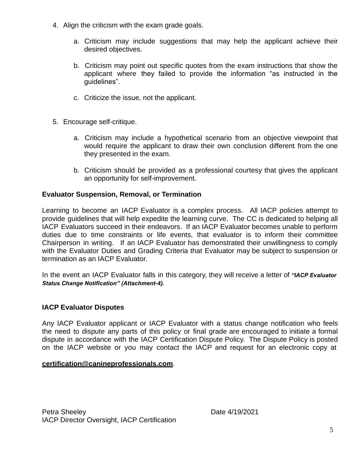- 4. Align the criticism with the exam grade goals.
	- a. Criticism may include suggestions that may help the applicant achieve their desired objectives.
	- b. Criticism may point out specific quotes from the exam instructions that show the applicant where they failed to provide the information "as instructed in the guidelines".
	- c. Criticize the issue, not the applicant.
- 5. Encourage self-critique.
	- a. Criticism may include a hypothetical scenario from an objective viewpoint that would require the applicant to draw their own conclusion different from the one they presented in the exam.
	- b. Criticism should be provided as a professional courtesy that gives the applicant an opportunity for self-improvement.

### **Evaluator Suspension, Removal, or Termination**

Learning to become an IACP Evaluator is a complex process. All IACP policies attempt to provide guidelines that will help expedite the learning curve. The CC is dedicated to helping all IACP Evaluators succeed in their endeavors. If an IACP Evaluator becomes unable to perform duties due to time constraints or life events, that evaluator is to inform their committee Chairperson in writing. If an IACP Evaluator has demonstrated their unwillingness to comply with the Evaluator Duties and Grading Criteria that Evaluator may be subject to suspension or termination as an IACP Evaluator.

In the event an IACP Evaluator falls in this category, they will receive a letter of *"IACP Evaluator Status Change Notification" (Attachment-4).*

## **IACP Evaluator Disputes**

Any IACP Evaluator applicant or IACP Evaluator with a status change notification who feels the need to dispute any parts of this policy or final grade are encouraged to initiate a formal dispute in accordance with the IACP Certification Dispute Policy. The Dispute Policy is posted on the IACP website or you may contact the IACP and request for an [electronic](mailto:certification@canineprofessionals.com) copy at

#### **[certification@canineprofessionals.com](mailto:certification@canineprofessionals.com)**.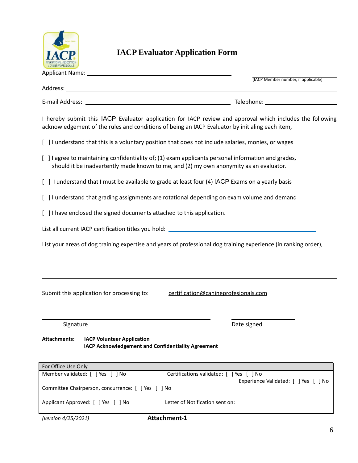

## **IACP Evaluator Application Form**

|                                                                                                                                                                                               | (IACP Member number, if applicable)                                                                             |  |  |  |
|-----------------------------------------------------------------------------------------------------------------------------------------------------------------------------------------------|-----------------------------------------------------------------------------------------------------------------|--|--|--|
|                                                                                                                                                                                               |                                                                                                                 |  |  |  |
|                                                                                                                                                                                               | Telephone: 2000                                                                                                 |  |  |  |
| acknowledgement of the rules and conditions of being an IACP Evaluator by initialing each item,                                                                                               | I hereby submit this IACP Evaluator application for IACP review and approval which includes the following       |  |  |  |
| [ ] I understand that this is a voluntary position that does not include salaries, monies, or wages                                                                                           |                                                                                                                 |  |  |  |
| [ ] l agree to maintaining confidentiality of; (1) exam applicants personal information and grades,<br>should it be inadvertently made known to me, and (2) my own anonymity as an evaluator. |                                                                                                                 |  |  |  |
| [ ] I understand that I must be available to grade at least four (4) IACP Exams on a yearly basis                                                                                             |                                                                                                                 |  |  |  |
| [ ] I understand that grading assignments are rotational depending on exam volume and demand                                                                                                  |                                                                                                                 |  |  |  |
| [ ] I have enclosed the signed documents attached to this application.                                                                                                                        |                                                                                                                 |  |  |  |
| List all current IACP certification titles you hold: ____________________________                                                                                                             |                                                                                                                 |  |  |  |
|                                                                                                                                                                                               | List your areas of dog training expertise and years of professional dog training experience (in ranking order), |  |  |  |
|                                                                                                                                                                                               |                                                                                                                 |  |  |  |
| Submit this application for processing to:<br>certification@canineprofesionals.com                                                                                                            |                                                                                                                 |  |  |  |
| Signature                                                                                                                                                                                     | Date signed                                                                                                     |  |  |  |
| <b>Attachments:</b><br><b>IACP Volunteer Application</b><br>IACP Acknowledgement and Confidentiality Agreement                                                                                |                                                                                                                 |  |  |  |
| For Office Use Only                                                                                                                                                                           |                                                                                                                 |  |  |  |
| Member validated: [ ] Yes [<br>] No                                                                                                                                                           | Certifications validated: [ ] Yes [<br>1 No                                                                     |  |  |  |

| Committee Chairperson, concurrence: [ ] Yes [ ] No |                                 | Experience Validated: [ ] Yes [ ] No |  |
|----------------------------------------------------|---------------------------------|--------------------------------------|--|
| Applicant Approved: [ ] Yes [ ] No                 | Letter of Notification sent on: |                                      |  |

*(version 4/25/2021)* **Attachment-1**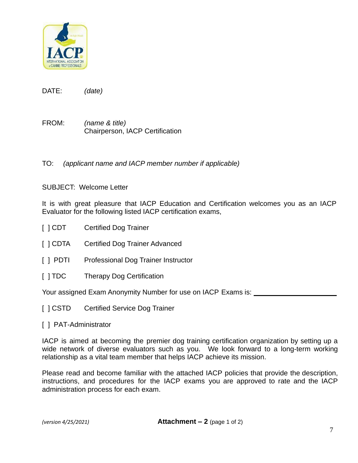

DATE: *(date)*

FROM: *(name & title)* Chairperson, IACP Certification

TO: *(applicant name and IACP member number if applicable)*

SUBJECT: Welcome Letter

It is with great pleasure that IACP Education and Certification welcomes you as an IACP Evaluator for the following listed IACP certification exams,

- [ ] CDT Certified Dog Trainer
- [ ] CDTA Certified Dog Trainer Advanced
- [ ] PDTI Professional Dog Trainer Instructor
- [ ] TDC Therapy Dog Certification

Your assigned Exam Anonymity Number for use on IACP Exams is:

- [ ] CSTD Certified Service Dog Trainer
- [ ] PAT-Administrator

IACP is aimed at becoming the premier dog training certification organization by setting up a wide network of diverse evaluators such as you. We look forward to a long-term working relationship as a vital team member that helps IACP achieve its mission.

Please read and become familiar with the attached IACP policies that provide the description, instructions, and procedures for the IACP exams you are approved to rate and the IACP administration process for each exam.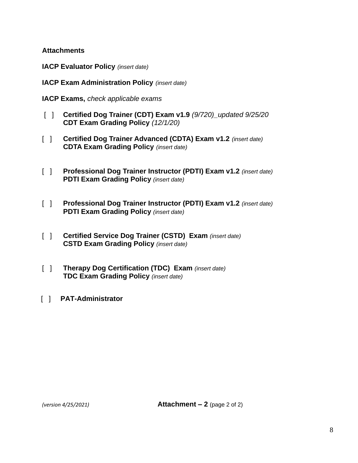### **Attachments**

- **IACP Evaluator Policy** *(insert date)*
- **IACP Exam Administration Policy** *(insert date)*
- **IACP Exams,** *check applicable exams*
- [ ] **Certified Dog Trainer (CDT) Exam v1.9** *(9/720)\_updated 9/25/20* **CDT Exam Grading Policy** *(12/1/20)*
- [ ] **Certified Dog Trainer Advanced (CDTA) Exam v1.2** *(insert date)* **CDTA Exam Grading Policy** *(insert date)*
- [ ] **Professional Dog Trainer Instructor (PDTI) Exam v1.2** *(insert date)* **PDTI Exam Grading Policy** *(insert date)*
- [ ] **Professional Dog Trainer Instructor (PDTI) Exam v1.2** *(insert date)* **PDTI Exam Grading Policy** *(insert date)*
- [ ] **Certified Service Dog Trainer (CSTD) Exam** *(insert date)* **CSTD Exam Grading Policy** *(insert date)*
- [ ] **Therapy Dog Certification (TDC) Exam** *(insert date)* **TDC Exam Grading Policy** *(insert date)*
- [ ] **PAT-Administrator**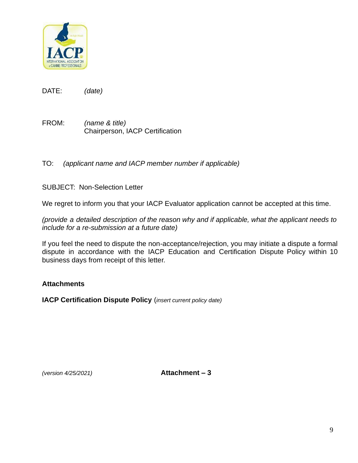

DATE: *(date)*

FROM: *(name & title)* Chairperson, IACP Certification

TO: *(applicant name and IACP member number if applicable)*

SUBJECT: Non-Selection Letter

We regret to inform you that your IACP Evaluator application cannot be accepted at this time.

*(provide a detailed description of the reason why and if applicable, what the applicant needs to include for a re-submission at a future date)*

If you feel the need to dispute the non-acceptance/rejection, you may initiate a dispute a formal dispute in accordance with the IACP Education and Certification Dispute Policy within 10 business days from receipt of this letter.

## **Attachments**

**IACP Certification Dispute Policy** (*insert current policy date)*

*(version 4/25/2021)* **Attachment – 3**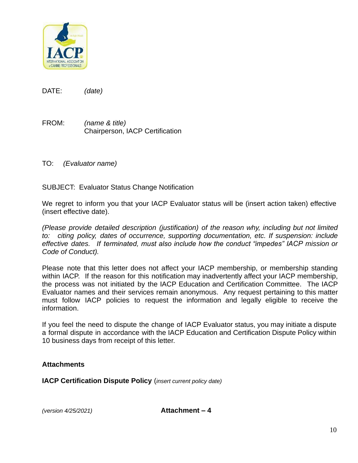

DATE: *(date)*

FROM: *(name & title)* Chairperson, IACP Certification

TO: *(Evaluator name)*

SUBJECT: Evaluator Status Change Notification

We regret to inform you that your IACP Evaluator status will be (insert action taken) effective (insert effective date).

*(Please provide detailed description (justification) of the reason why, including but not limited to: citing policy, dates of occurrence, supporting documentation, etc. If suspension: include effective dates. If terminated, must also include how the conduct "impedes" IACP mission or Code of Conduct).*

Please note that this letter does not affect your IACP membership, or membership standing within IACP. If the reason for this notification may inadvertently affect your IACP membership, the process was not initiated by the IACP Education and Certification Committee. The IACP Evaluator names and their services remain anonymous. Any request pertaining to this matter must follow IACP policies to request the information and legally eligible to receive the information.

If you feel the need to dispute the change of IACP Evaluator status, you may initiate a dispute a formal dispute in accordance with the IACP Education and Certification Dispute Policy within 10 business days from receipt of this letter.

## **Attachments**

**IACP Certification Dispute Policy** (*insert current policy date)* 

*(version 4/25/2021)* **Attachment – 4**